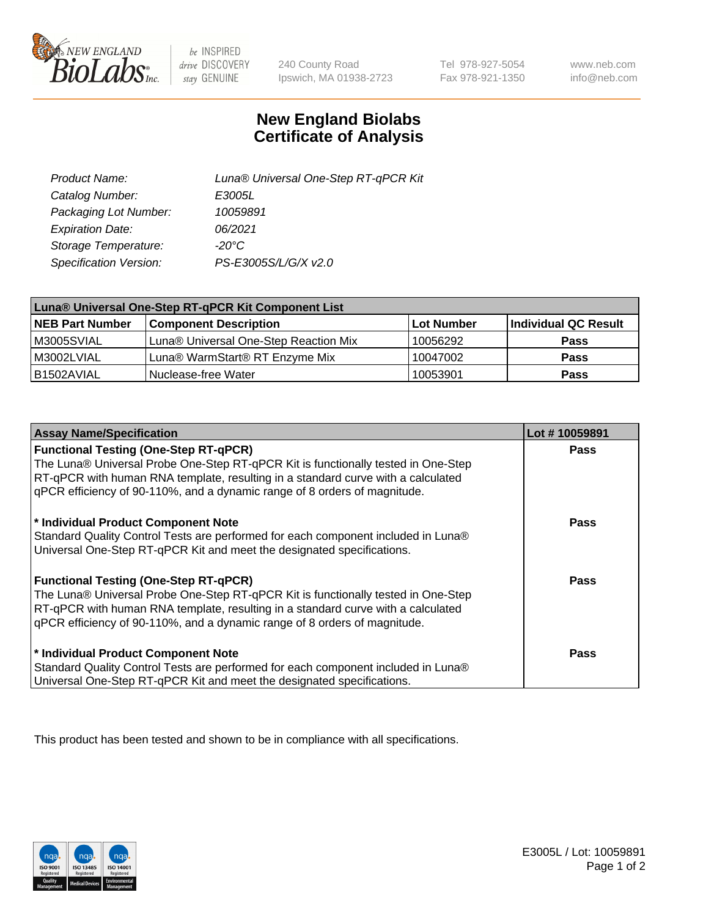

 $be$  INSPIRED drive DISCOVERY stay GENUINE

240 County Road Ipswich, MA 01938-2723

Tel 978-927-5054 Fax 978-921-1350

www.neb.com info@neb.com

## **New England Biolabs Certificate of Analysis**

| Product Name:           | Luna® Universal One-Step RT-qPCR Kit |
|-------------------------|--------------------------------------|
| Catalog Number:         | E3005L                               |
| Packaging Lot Number:   | 10059891                             |
| <b>Expiration Date:</b> | 06/2021                              |
| Storage Temperature:    | $-20^{\circ}$ C                      |
| Specification Version:  | PS-E3005S/L/G/X v2.0                 |

| Luna® Universal One-Step RT-qPCR Kit Component List |                                       |            |                      |  |
|-----------------------------------------------------|---------------------------------------|------------|----------------------|--|
| <b>NEB Part Number</b>                              | <b>Component Description</b>          | Lot Number | Individual QC Result |  |
| M3005SVIAL                                          | Luna® Universal One-Step Reaction Mix | 10056292   | <b>Pass</b>          |  |
| M3002LVIAL                                          | Luna® WarmStart® RT Enzyme Mix        | 10047002   | <b>Pass</b>          |  |
| B1502AVIAL                                          | Nuclease-free Water                   | 10053901   | <b>Pass</b>          |  |

| <b>Assay Name/Specification</b>                                                                                                                                                                                                                                                                    | Lot #10059891 |
|----------------------------------------------------------------------------------------------------------------------------------------------------------------------------------------------------------------------------------------------------------------------------------------------------|---------------|
| <b>Functional Testing (One-Step RT-qPCR)</b><br>The Luna® Universal Probe One-Step RT-qPCR Kit is functionally tested in One-Step<br>RT-qPCR with human RNA template, resulting in a standard curve with a calculated                                                                              | <b>Pass</b>   |
| gPCR efficiency of 90-110%, and a dynamic range of 8 orders of magnitude.                                                                                                                                                                                                                          |               |
| * Individual Product Component Note<br>Standard Quality Control Tests are performed for each component included in Luna®<br>Universal One-Step RT-qPCR Kit and meet the designated specifications.                                                                                                 | Pass          |
| <b>Functional Testing (One-Step RT-qPCR)</b><br>The Luna® Universal Probe One-Step RT-qPCR Kit is functionally tested in One-Step<br>RT-qPCR with human RNA template, resulting in a standard curve with a calculated<br>gPCR efficiency of 90-110%, and a dynamic range of 8 orders of magnitude. | Pass          |
| * Individual Product Component Note<br>Standard Quality Control Tests are performed for each component included in Luna®<br>Universal One-Step RT-qPCR Kit and meet the designated specifications.                                                                                                 | <b>Pass</b>   |

This product has been tested and shown to be in compliance with all specifications.